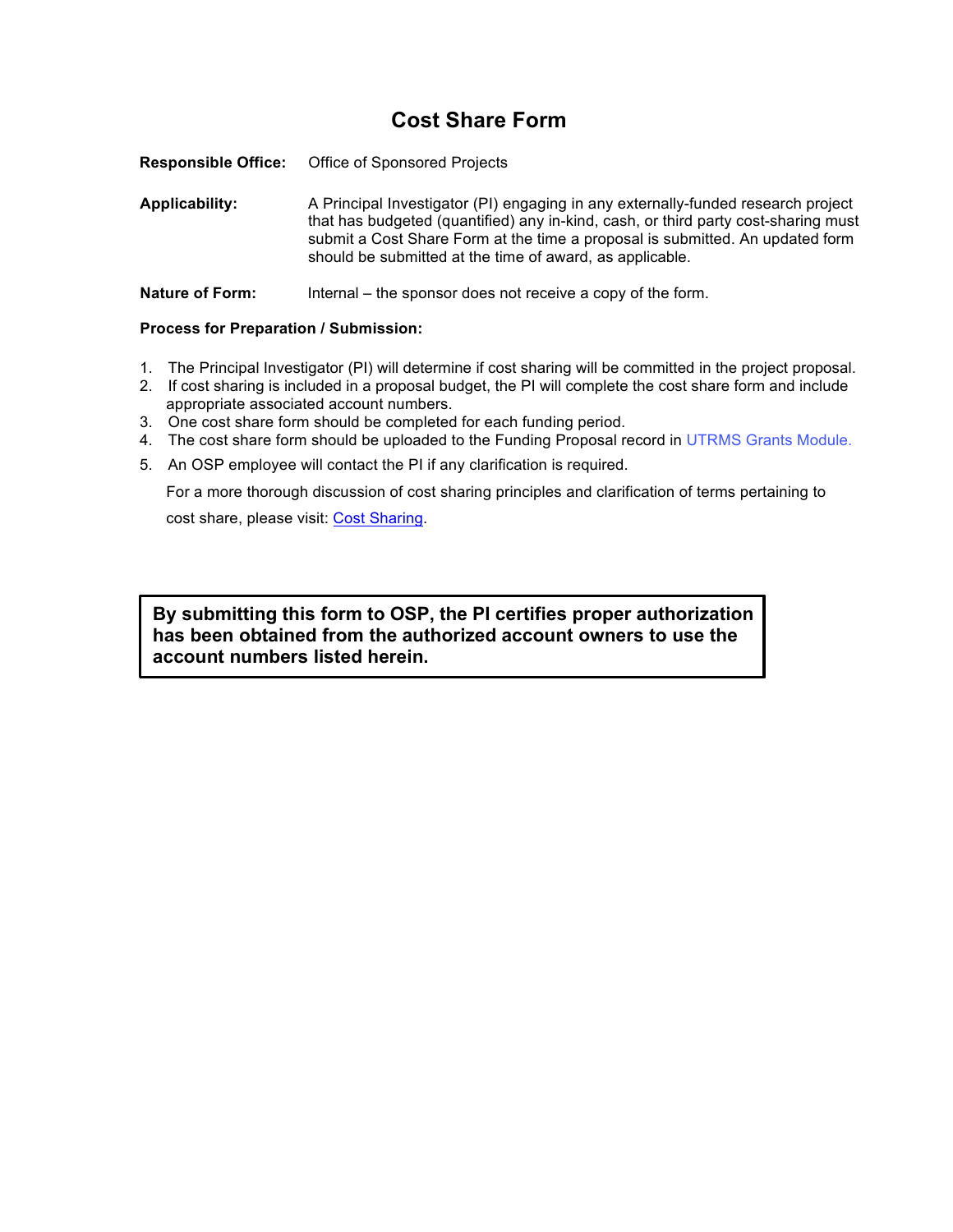## **Cost Share Form**

**Responsible Office:** Office of Sponsored Projects

**Applicability:** A Principal Investigator (PI) engaging in any externally-funded research project that has budgeted (quantified) any in-kind, cash, or third party cost-sharing must submit a Cost Share Form at the time a proposal is submitted. An updated form should be submitted at the time of award, as applicable.

**Nature of Form:** Internal – the sponsor does not receive a copy of the form.

## **Process for Preparation / Submission:**

- 1. The Principal Investigator (PI) will determine if cost sharing will be committed in the project proposal.
- 2. If cost sharing is included in a proposal budget, the PI will complete the cost share form and include appropriate associated account numbers.
- 3. One cost share form should be completed for each funding period.
- 4. The cost share form should be uploaded to the Funding Proposal record in [UTRMS](https://grants.research.utexas.edu/) Grants Module.
- 5. An OSP employee will contact the PI if any clarification is required.

For a more thorough discussion of cost sharing principles and clarification of terms pertaining to

cost share, please visit: Cost [Sharing.](https://research.utexas.edu/osp/prepare-submit-proposal/cost-share-guidelines/)

**By submitting this form to OSP, the PI certifies proper authorization has been obtained from the authorized account owners to use the account numbers listed herein.**